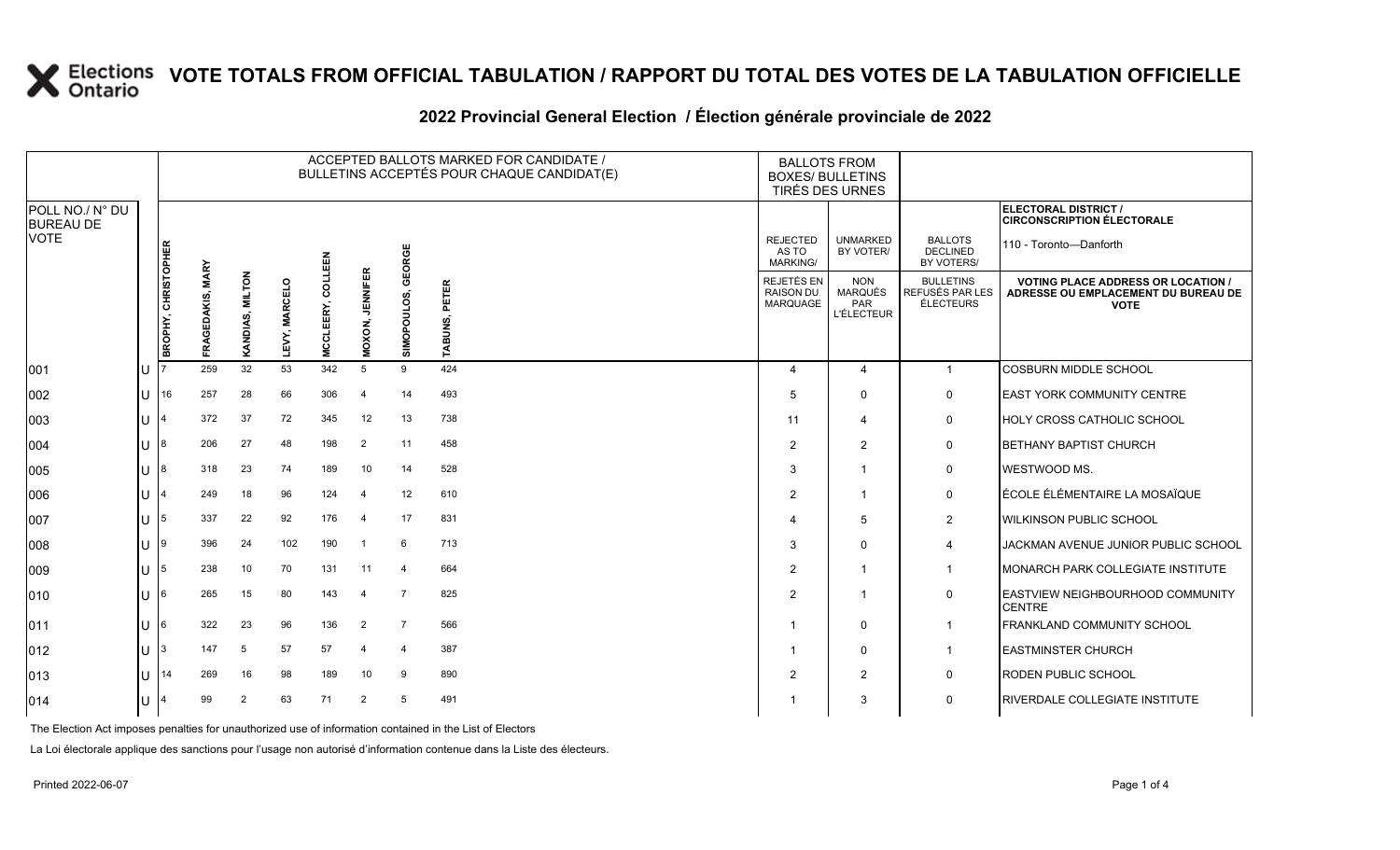|                                                    |     | ACCEPTED BALLOTS MARKED FOR CANDIDATE /<br>BULLETINS ACCEPTÉS POUR CHAQUE CANDIDAT(E) |                                      |                 |                         |                                  |                           |                |                       |                                                   | <b>BALLOTS FROM</b><br><b>BOXES/ BULLETINS</b><br><b>TIRÉS DES URNES</b> |                                                         |                                                                                                 |
|----------------------------------------------------|-----|---------------------------------------------------------------------------------------|--------------------------------------|-----------------|-------------------------|----------------------------------|---------------------------|----------------|-----------------------|---------------------------------------------------|--------------------------------------------------------------------------|---------------------------------------------------------|-------------------------------------------------------------------------------------------------|
| POLL NO./ N° DU<br><b>BUREAU DE</b><br><b>VOTE</b> |     |                                                                                       |                                      |                 |                         |                                  |                           |                |                       |                                                   |                                                                          |                                                         | ELECTORAL DISTRICT /<br><b>CIRCONSCRIPTION ÉLECTORALE</b>                                       |
|                                                    |     |                                                                                       |                                      |                 |                         |                                  |                           | GEORGE         |                       | <b>REJECTED</b><br>AS TO<br><b>MARKING/</b>       | <b>UNMARKED</b><br>BY VOTER/                                             | <b>BALLOTS</b><br><b>DECLINED</b><br>BY VOTERS/         | 110 - Toronto-Danforth                                                                          |
|                                                    |     | <b>BROPHY, CHRISTOPHER</b>                                                            | <b>MARY</b><br><b>GEDAKIS</b><br>FRA | KANDIAS, MILTON | <b>MARCELO</b><br>LEVY, | COLLEEN<br>EERY,<br><b>MCCLE</b> | <b>JENNIFER</b><br>MOXON, | SIMOPOULOS,    | PETER<br><b>ABUNS</b> | REJETÉS EN<br><b>RAISON DU</b><br><b>MARQUAGE</b> | <b>NON</b><br>MARQUÉS<br>PAR<br><b>L'ÉLECTEUR</b>                        | <b>BULLETINS</b><br>REFUSÉS PAR LES<br><b>ÉLECTEURS</b> | <b>VOTING PLACE ADDRESS OR LOCATION /</b><br>ADRESSE OU EMPLACEMENT DU BUREAU DE<br><b>VOTE</b> |
| 001                                                | IU  |                                                                                       | 259                                  | 32              | 53                      | 342                              | 5                         | 9              | 424                   | 4                                                 | $\overline{4}$                                                           | $\mathbf{1}$                                            | <b>COSBURN MIDDLE SCHOOL</b>                                                                    |
| 002                                                | ΙU  | 16                                                                                    | 257                                  | 28              | 66                      | 306                              | $\overline{\mathbf{4}}$   | 14             | 493                   | 5                                                 | $\Omega$                                                                 | 0                                                       | <b>EAST YORK COMMUNITY CENTRE</b>                                                               |
| 003                                                | IU  |                                                                                       | 372                                  | 37              | 72                      | 345                              | 12                        | 13             | 738                   | 11                                                | 4                                                                        | 0                                                       | <b>HOLY CROSS CATHOLIC SCHOOL</b>                                                               |
| 004                                                | IU  | 18                                                                                    | 206                                  | 27              | 48                      | 198                              | $\overline{2}$            | 11             | 458                   | $\mathcal{P}$                                     | $\overline{2}$                                                           | 0                                                       | <b>BETHANY BAPTIST CHURCH</b>                                                                   |
| 005                                                | IU. | 18                                                                                    | 318                                  | 23              | 74                      | 189                              | 10                        | 14             | 528                   | 3                                                 |                                                                          | 0                                                       | WESTWOOD MS.                                                                                    |
| 006                                                | IU  |                                                                                       | 249                                  | 18              | 96                      | 124                              | $\overline{a}$            | 12             | 610                   | 2                                                 | -1                                                                       | 0                                                       | ÉCOLE ÉLÉMENTAIRE LA MOSAÏQUE                                                                   |
| 007                                                | IU  | 15                                                                                    | 337                                  | 22              | 92                      | 176                              | $\boldsymbol{\Delta}$     | 17             | 831                   | 4                                                 | $\overline{5}$                                                           | $\overline{2}$                                          | <b>WILKINSON PUBLIC SCHOOL</b>                                                                  |
| 008                                                | IU  | 19                                                                                    | 396                                  | 24              | 102                     | 190                              |                           | 6              | 713                   | 3                                                 | $\Omega$                                                                 | $\overline{4}$                                          | JACKMAN AVENUE JUNIOR PUBLIC SCHOOL                                                             |
| 009                                                | IU  | 15                                                                                    | 238                                  | 10              | 70                      | 131                              | 11                        | $\overline{4}$ | 664                   | 2                                                 | -1                                                                       | $\mathbf{1}$                                            | MONARCH PARK COLLEGIATE INSTITUTE                                                               |
| 010                                                | IU  | 16                                                                                    | 265                                  | 15              | 80                      | 143                              | $\overline{\bf{4}}$       | $\overline{7}$ | 825                   | $\overline{2}$                                    |                                                                          | $\mathsf 0$                                             | <b>EASTVIEW NEIGHBOURHOOD COMMUNITY</b><br><b>CENTRE</b>                                        |
| 011                                                | IU  | 16                                                                                    | 322                                  | 23              | 96                      | 136                              | $\overline{2}$            | $\overline{7}$ | 566                   | -1                                                | 0                                                                        | $\mathbf{1}$                                            | FRANKLAND COMMUNITY SCHOOL                                                                      |
| 012                                                | ΙU  | 13                                                                                    | 147                                  | 5               | 57                      | 57                               | 4                         | 4              | 387                   |                                                   | $\Omega$                                                                 | $\mathbf{1}$                                            | <b>EASTMINSTER CHURCH</b>                                                                       |
| 013                                                | IU  | 14                                                                                    | 269                                  | 16              | 98                      | 189                              | 10                        | 9              | 890                   | 2                                                 | $\overline{2}$                                                           | 0                                                       | <b>RODEN PUBLIC SCHOOL</b>                                                                      |
| 014                                                | ΙU  |                                                                                       | 99                                   | 2               | 63                      | 71                               | 2                         | 5              | 491                   | -1                                                | 3                                                                        | 0                                                       | <b>RIVERDALE COLLEGIATE INSTITUTE</b>                                                           |

#### **2022 Provincial General Election / Élection générale provinciale de 2022**

The Election Act imposes penalties for unauthorized use of information contained in the List of Electors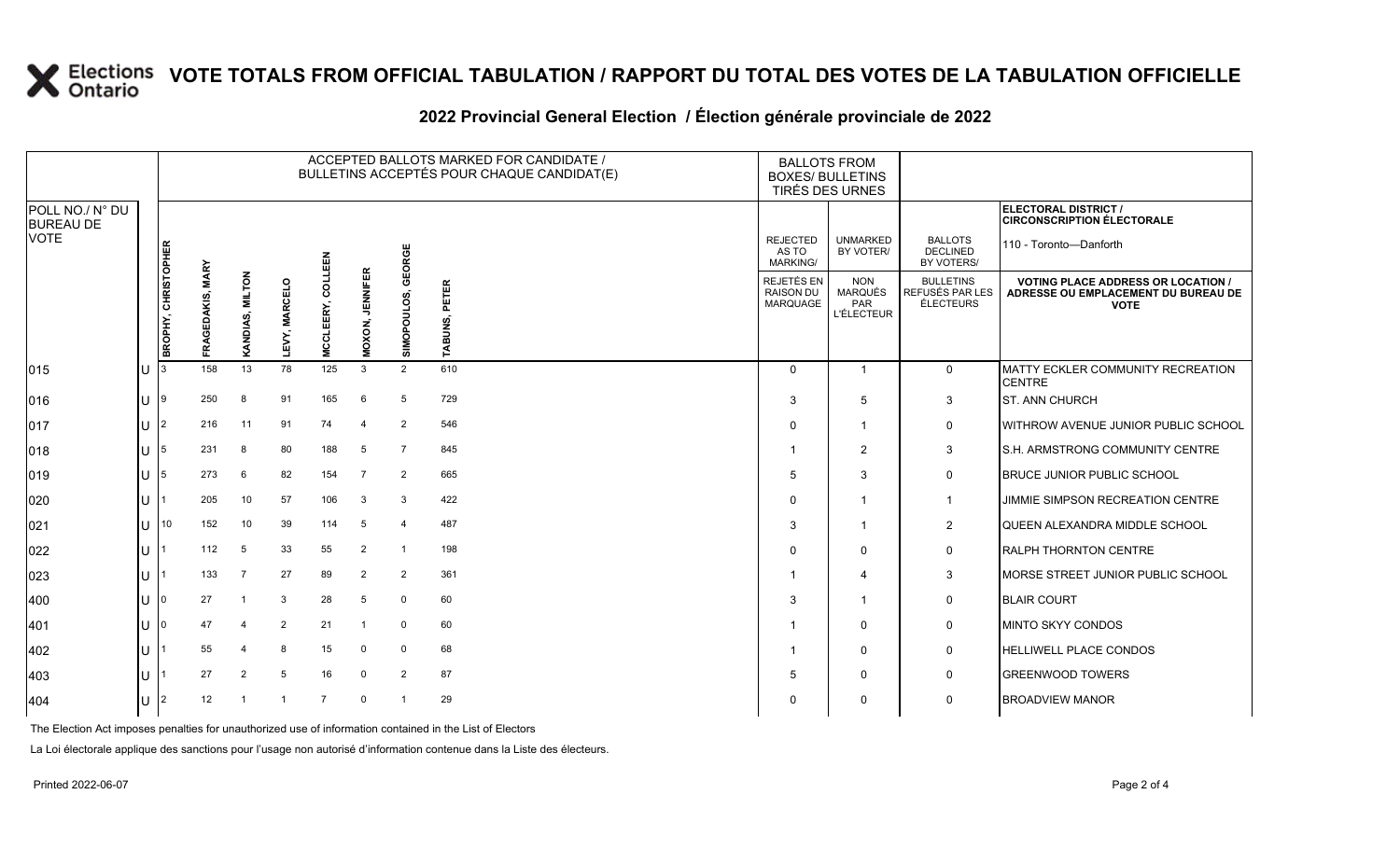|     |               |                       |                |                 |                |                    |                           |                      |                                                                                                  |                                                          |                                                                   | ELECTORAL DISTRICT /<br><b>CIRCONSCRIPTION ÉLECTORALE</b>                                       |
|-----|---------------|-----------------------|----------------|-----------------|----------------|--------------------|---------------------------|----------------------|--------------------------------------------------------------------------------------------------|----------------------------------------------------------|-------------------------------------------------------------------|-------------------------------------------------------------------------------------------------|
|     |               |                       |                |                 | 띮              |                    |                           |                      | <b>REJECTED</b><br>AS TO<br><b>MARKING/</b>                                                      | <b>UNMARKED</b><br>BY VOTER/                             | <b>BALLOTS</b><br><b>DECLINED</b><br>BY VOTERS/                   | 110 - Toronto-Danforth                                                                          |
|     |               | <b>GEDAKIS</b><br>ิ≳ี |                | <b>MARCELO</b>  |                |                    | ō                         | PETER                | <b>REJETÉS EN</b><br><b>RAISON DU</b>                                                            | <b>NON</b><br><b>MARQUÉS</b><br>PAR<br><b>L'ÉLECTEUR</b> | <b>BULLETINS</b><br>REFUSÉS PAR LES<br>ÉLECTEURS                  | <b>VOTING PLACE ADDRESS OR LOCATION /</b><br>ADRESSE OU EMPLACEMENT DU BUREAU DE<br><b>VOTE</b> |
| IU  | 13            | 158                   | 13             | 78              | 125            | $\mathbf{3}$       | 2                         | 610                  | $\Omega$                                                                                         | $\overline{1}$                                           | $\mathbf 0$                                                       | <b>MATTY ECKLER COMMUNITY RECREATION</b><br><b>CENTRE</b>                                       |
| IU  | 19            | 250                   | 8              | 91              | 165            | 6                  | 5                         | 729                  | 3                                                                                                | 5                                                        | $\mathbf{3}$                                                      | <b>ST. ANN CHURCH</b>                                                                           |
| IU  | 12            | 216                   | 11             | 91              | 74             | $\overline{4}$     | 2                         | 546                  | $\Omega$                                                                                         | -1                                                       | 0                                                                 | <b>WITHROW AVENUE JUNIOR PUBLIC SCHOOL</b>                                                      |
| ПT  | 15            | 231                   | 8              | 80              | 188            | 5                  | $\overline{7}$            | 845                  |                                                                                                  | $\overline{2}$                                           | 3                                                                 | S.H. ARMSTRONG COMMUNITY CENTRE                                                                 |
| ПT  | 15            | 273                   | 6              | 82              | 154            | $\overline{7}$     | $\overline{2}$            | 665                  | 5                                                                                                | 3                                                        | $\mathbf 0$                                                       | <b>BRUCE JUNIOR PUBLIC SCHOOL</b>                                                               |
| IU  |               | 205                   | 10             | 57              | 106            | 3                  | 3                         | 422                  | $\Omega$                                                                                         | -1                                                       | $\mathbf 1$                                                       | JIMMIE SIMPSON RECREATION CENTRE                                                                |
| ΠT  | 10            | 152                   | 10             | 39              | 114            | 5                  | $\overline{4}$            | 487                  | 3                                                                                                | $\overline{\mathbf{1}}$                                  | $\overline{2}$                                                    | QUEEN ALEXANDRA MIDDLE SCHOOL                                                                   |
| IU  |               | 112                   | 5              | 33              | 55             | 2                  | $\overline{1}$            | 198                  | $\Omega$                                                                                         | $\Omega$                                                 | $\mathbf 0$                                                       | <b>RALPH THORNTON CENTRE</b>                                                                    |
| ΙU  |               | 133                   | $\overline{7}$ | 27              | 89             | $\overline{2}$     | $\overline{2}$            | 361                  |                                                                                                  | $\Delta$                                                 | 3                                                                 | MORSE STREET JUNIOR PUBLIC SCHOOL                                                               |
| Ш   |               | 27                    | -1             | 3               | 28             | 5                  | $\mathbf 0$               | 60                   | 3                                                                                                | $\overline{\mathbf{1}}$                                  | $\mathsf{O}$                                                      | <b>BLAIR COURT</b>                                                                              |
| IU  |               | 47                    | $\overline{4}$ | $\overline{2}$  | 21             |                    | $\mathbf 0$               | 60                   |                                                                                                  | $\Omega$                                                 | $\mathsf{O}$                                                      | <b>MINTO SKYY CONDOS</b>                                                                        |
| IU. |               | 55                    | 4              | 8               | 15             | 0                  | 0                         | 68                   |                                                                                                  | 0                                                        | 0                                                                 | <b>HELLIWELL PLACE CONDOS</b>                                                                   |
| ПT  |               | 27                    | $\overline{2}$ | 5               | 16             | 0                  | $\overline{2}$            | 87                   | 5                                                                                                | 0                                                        | $\mathbf 0$                                                       | <b>GREENWOOD TOWERS</b>                                                                         |
| ΙU  | $\mathsf{I}2$ | 12                    | $\mathbf 1$    | -1              | $\overline{7}$ | $\mathbf 0$        |                           | 29                   | $\Omega$                                                                                         | $\Omega$                                                 | $\mathbf 0$                                                       | <b>BROADVIEW MANOR</b>                                                                          |
|     |               | BROPHY, CHRISTOPHER   | <b>MARY</b>    | KANDIAS, MILTON | LEVY,          | COLLE<br>MCCLEERY, | <b>JENNIFER</b><br>MOXON, | EORGE<br>SIMOPOULOS, | ACCEPTED BALLOTS MARKED FOR CANDIDATE /<br>BULLETINS ACCEPTÉS POUR CHAQUE CANDIDAT(E)<br>TABUNS, | <b>MARQUAGE</b>                                          | <b>BALLOTS FROM</b><br><b>BOXES/ BULLETINS</b><br>TIRÉS DES URNES |                                                                                                 |

#### **2022 Provincial General Election / Élection générale provinciale de 2022**

The Election Act imposes penalties for unauthorized use of information contained in the List of Electors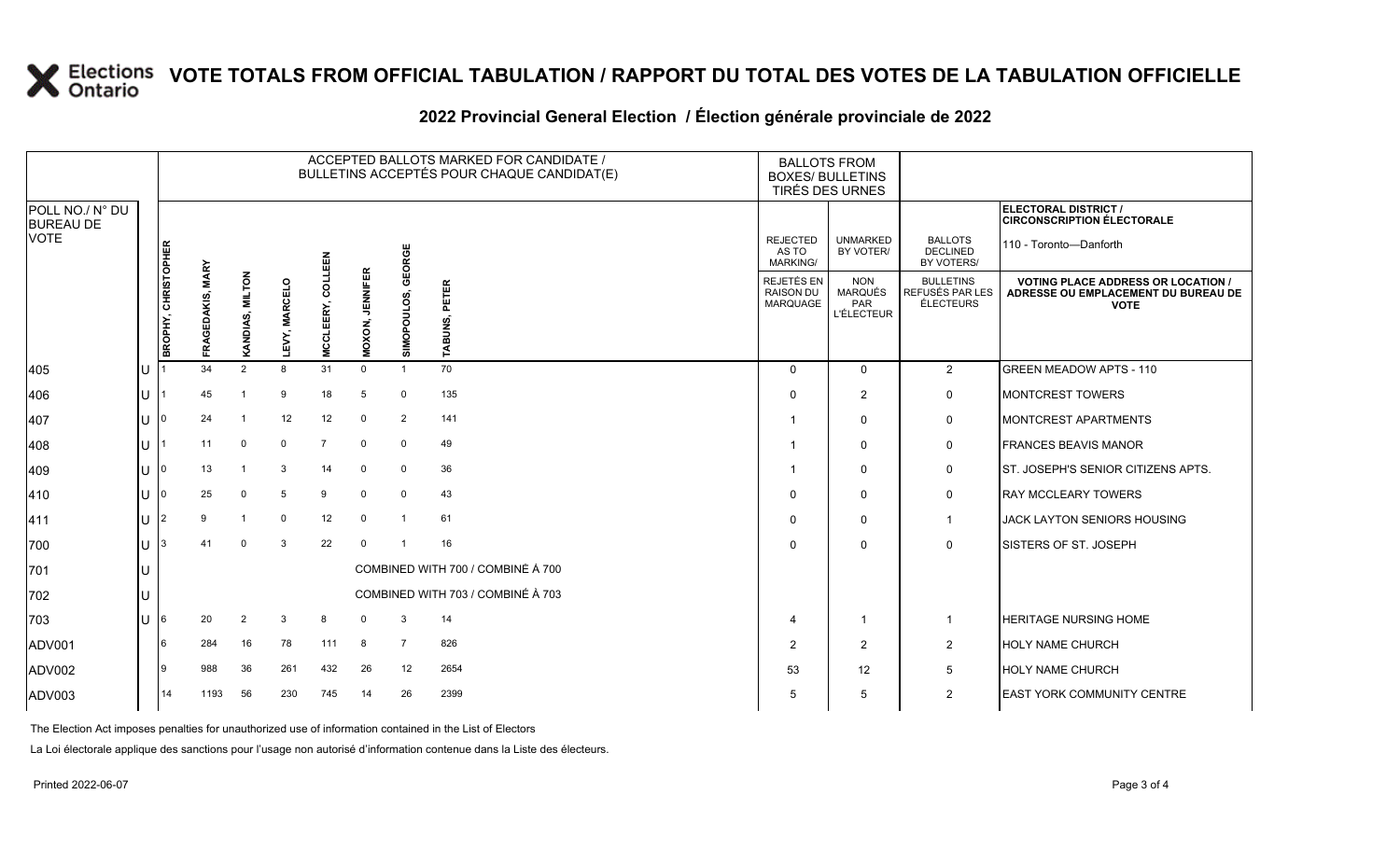#### **2022 Provincial General Election / Élection générale provinciale de 2022**

|                                     |     |                     |                                    |                 |                      |                            |                           |                   | ACCEPTED BALLOTS MARKED FOR CANDIDATE /<br>BULLETINS ACCEPTÉS POUR CHAQUE CANDIDAT(E) | <b>BALLOTS FROM</b><br><b>BOXES/ BULLETINS</b><br>TIRÉS DES URNES |                                                   |                                                         |                                                                                                 |
|-------------------------------------|-----|---------------------|------------------------------------|-----------------|----------------------|----------------------------|---------------------------|-------------------|---------------------------------------------------------------------------------------|-------------------------------------------------------------------|---------------------------------------------------|---------------------------------------------------------|-------------------------------------------------------------------------------------------------|
| POLL NO./ N° DU<br><b>BUREAU DE</b> |     |                     |                                    |                 |                      |                            |                           |                   |                                                                                       |                                                                   |                                                   |                                                         | ELECTORAL DISTRICT /<br><b>CIRCONSCRIPTION ÉLECTORALE</b>                                       |
| <b>VOTE</b>                         |     |                     |                                    |                 |                      | 띮                          |                           | GEORGE            |                                                                                       | <b>REJECTED</b><br>AS TO<br><b>MARKING/</b>                       | <b>UNMARKED</b><br>BY VOTER/                      | <b>BALLOTS</b><br><b>DECLINED</b><br>BY VOTERS/         | 110 - Toronto-Danforth                                                                          |
|                                     |     | BROPHY, CHRISTOPHER | <b>MARY</b><br>EDAKIS,<br>ō<br>FRA | KANDIAS, MILTON | <b>LEVY, MARCELO</b> | Lo C<br>CLEERY,<br>ō<br>Σ. | <b>JENNIFER</b><br>MOXON, | <b>SIMOPOULOS</b> | PETER<br>ABUNS.                                                                       | REJETÉS EN<br>RAISON DU<br>MARQUAGE                               | <b>NON</b><br>MARQUÉS<br>PAR<br><b>L'ÉLECTEUR</b> | <b>BULLETINS</b><br>REFUSÉS PAR LES<br><b>ÉLECTEURS</b> | <b>VOTING PLACE ADDRESS OR LOCATION /</b><br>ADRESSE OU EMPLACEMENT DU BUREAU DE<br><b>VOTE</b> |
| 405                                 | IU. |                     | 34                                 | 2               | 8                    | 31                         | $\mathbf 0$               | -1                | 70                                                                                    | $\Omega$                                                          | $\Omega$                                          | $\overline{2}$                                          | <b>GREEN MEADOW APTS - 110</b>                                                                  |
| 406                                 | lu  |                     | 45                                 |                 | 9                    | 18                         | 5                         | $\mathbf 0$       | 135                                                                                   | $\Omega$                                                          | $\overline{2}$                                    | 0                                                       | MONTCREST TOWERS                                                                                |
| 407                                 | lU  |                     | 24                                 |                 | 12                   | 12                         | $\Omega$                  | 2                 | 141                                                                                   |                                                                   | $\mathbf{0}$                                      | 0                                                       | MONTCREST APARTMENTS                                                                            |
| 408                                 | ΙU  |                     | 11                                 | $\mathbf 0$     | $\Omega$             | $\overline{7}$             | $\mathbf 0$               | $\mathbf 0$       | 49                                                                                    |                                                                   | $\mathbf{0}$                                      | 0                                                       | <b>FRANCES BEAVIS MANOR</b>                                                                     |
| 409                                 | lu  | 10                  | 13                                 |                 | 3                    | 14                         | 0                         | $\mathbf 0$       | 36                                                                                    |                                                                   | $\mathbf{0}$                                      | 0                                                       | ST. JOSEPH'S SENIOR CITIZENS APTS.                                                              |
| 410                                 | ΙU  |                     | 25                                 | $\Omega$        | 5                    | 9                          | $\mathbf 0$               | $\mathbf 0$       | 43                                                                                    | $\Omega$                                                          | $\mathbf{0}$                                      | 0                                                       | <b>RAY MCCLEARY TOWERS</b>                                                                      |
| 411                                 | ΙU  | 12                  | 9                                  |                 | $\mathbf 0$          | 12                         | $\mathbf 0$               | $\overline{1}$    | 61                                                                                    | $\Omega$                                                          | $\mathbf{0}$                                      | $\mathbf{1}$                                            | <b>JACK LAYTON SENIORS HOUSING</b>                                                              |
| 700                                 | lU. |                     | 41                                 | $\mathbf 0$     | 3                    | 22                         | $\Omega$                  |                   | 16                                                                                    | $\Omega$                                                          | $\mathbf{0}$                                      | 0                                                       | SISTERS OF ST. JOSEPH                                                                           |
| 701                                 | IU  |                     |                                    |                 |                      |                            |                           |                   | COMBINED WITH 700 / COMBINÉ À 700                                                     |                                                                   |                                                   |                                                         |                                                                                                 |
| 702                                 | IU  |                     |                                    |                 |                      |                            |                           |                   | COMBINED WITH 703 / COMBINÉ À 703                                                     |                                                                   |                                                   |                                                         |                                                                                                 |
| 703                                 | lu  | 16                  | 20                                 | $\overline{2}$  | 3                    | 8                          | $\mathbf 0$               | 3                 | 14                                                                                    | $\overline{4}$                                                    | -1                                                | -1                                                      | <b>HERITAGE NURSING HOME</b>                                                                    |
| ADV001                              |     | 16                  | 284                                | 16              | 78                   | 111                        | 8                         | $\overline{7}$    | 826                                                                                   | $\overline{2}$                                                    | 2                                                 | $\overline{a}$                                          | <b>HOLY NAME CHURCH</b>                                                                         |
| ADV002                              |     | 19                  | 988                                | 36              | 261                  | 432                        | 26                        | 12                | 2654                                                                                  | 53                                                                | $12 \overline{ }$                                 | 5                                                       | <b>HOLY NAME CHURCH</b>                                                                         |
| ADV003                              |     | 14                  | 1193                               | 56              | 230                  | 745                        | 14                        | 26                | 2399                                                                                  | 5                                                                 | 5                                                 | $\overline{2}$                                          | <b>EAST YORK COMMUNITY CENTRE</b>                                                               |

The Election Act imposes penalties for unauthorized use of information contained in the List of Electors